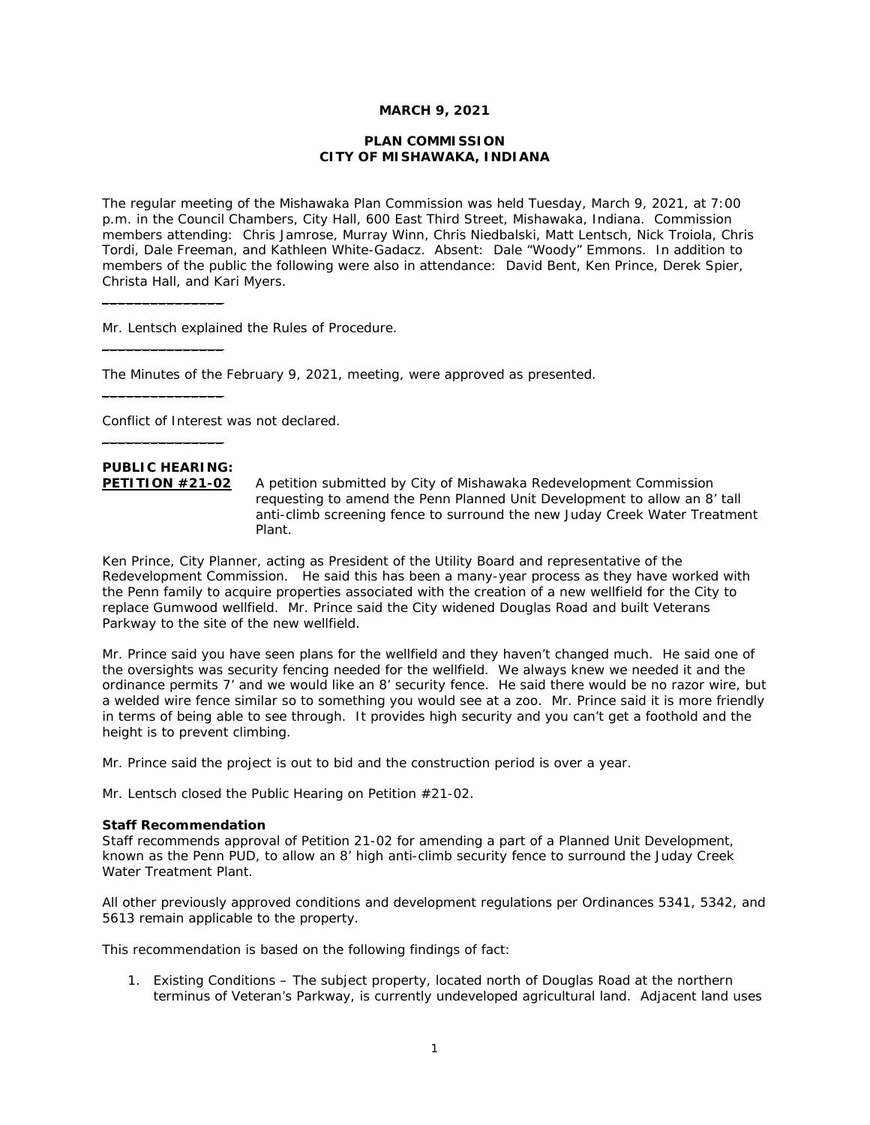## **MARCH 9, 2021**

# **PLAN COMMISSION CITY OF MISHAWAKA, INDIANA**

The regular meeting of the Mishawaka Plan Commission was held Tuesday, March 9, 2021, at 7:00 p.m. in the Council Chambers, City Hall, 600 East Third Street, Mishawaka, Indiana. Commission members attending: Chris Jamrose, Murray Winn, Chris Niedbalski, Matt Lentsch, Nick Troiola, Chris Tordi, Dale Freeman, and Kathleen White-Gadacz. Absent: Dale "Woody" Emmons. In addition to members of the public the following were also in attendance: David Bent, Ken Prince, Derek Spier, Christa Hall, and Kari Myers.

Mr. Lentsch explained the Rules of Procedure.

The Minutes of the February 9, 2021, meeting, were approved as presented.

Conflict of Interest was not declared.

# **PUBLIC HEARING:**

 $\_$ 

 $\mathcal{L}=\mathcal{L}=\mathcal{L}=\mathcal{L}=\mathcal{L}=\mathcal{L}=\mathcal{L}$ 

 $\overline{\phantom{a}}$  , where  $\overline{\phantom{a}}$ 

 $\mathcal{L}=\mathcal{L}=\mathcal{L}=\mathcal{L}=\mathcal{L}=\mathcal{L}=\mathcal{L}$ 

**PETITION #21-02** A petition submitted by City of Mishawaka Redevelopment Commission requesting to amend the Penn Planned Unit Development to allow an 8' tall anti-climb screening fence to surround the new Juday Creek Water Treatment Plant.

Ken Prince, City Planner, acting as President of the Utility Board and representative of the Redevelopment Commission. He said this has been a many-year process as they have worked with the Penn family to acquire properties associated with the creation of a new wellfield for the City to replace Gumwood wellfield. Mr. Prince said the City widened Douglas Road and built Veterans Parkway to the site of the new wellfield.

Mr. Prince said you have seen plans for the wellfield and they haven't changed much. He said one of the oversights was security fencing needed for the wellfield. We always knew we needed it and the ordinance permits 7' and we would like an 8' security fence. He said there would be no razor wire, but a welded wire fence similar so to something you would see at a zoo. Mr. Prince said it is more friendly in terms of being able to see through. It provides high security and you can't get a foothold and the height is to prevent climbing.

Mr. Prince said the project is out to bid and the construction period is over a year.

Mr. Lentsch closed the Public Hearing on Petition #21-02.

#### **Staff Recommendation**

*Staff recommends approval of Petition 21-02 for amending a part of a Planned Unit Development, known as the Penn PUD, to allow an 8' high anti-climb security fence to surround the Juday Creek Water Treatment Plant.* 

*All other previously approved conditions and development regulations per Ordinances 5341, 5342, and 5613 remain applicable to the property.* 

*This recommendation is based on the following findings of fact:* 

*1. Existing Conditions – The subject property, located north of Douglas Road at the northern terminus of Veteran's Parkway, is currently undeveloped agricultural land. Adjacent land uses*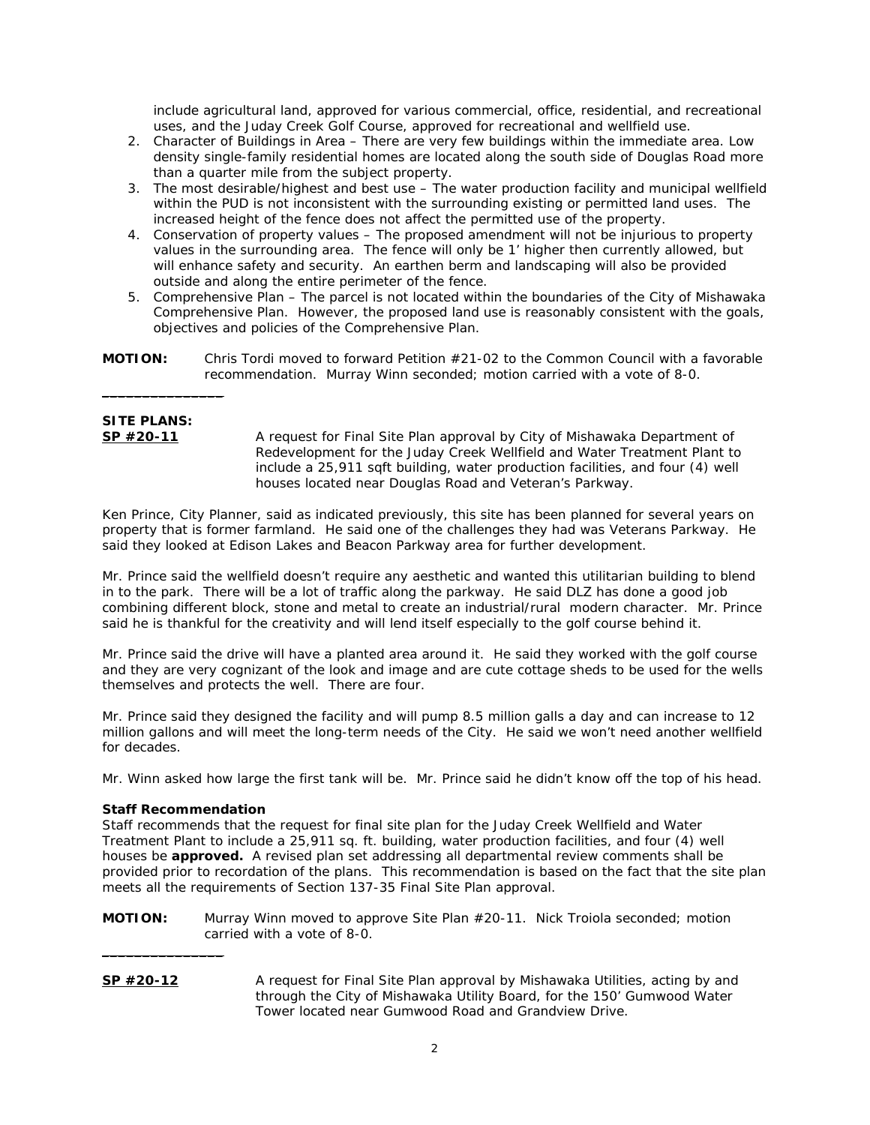*include agricultural land, approved for various commercial, office, residential, and recreational uses, and the Juday Creek Golf Course, approved for recreational and wellfield use.* 

- *2. Character of Buildings in Area There are very few buildings within the immediate area. Low density single-family residential homes are located along the south side of Douglas Road more than a quarter mile from the subject property.*
- *3. The most desirable/highest and best use The water production facility and municipal wellfield within the PUD is not inconsistent with the surrounding existing or permitted land uses. The increased height of the fence does not affect the permitted use of the property.*
- *4. Conservation of property values The proposed amendment will not be injurious to property values in the surrounding area. The fence will only be 1' higher then currently allowed, but will enhance safety and security. An earthen berm and landscaping will also be provided outside and along the entire perimeter of the fence.*
- *5. Comprehensive Plan The parcel is not located within the boundaries of the City of Mishawaka Comprehensive Plan. However, the proposed land use is reasonably consistent with the goals, objectives and policies of the Comprehensive Plan.*
- **MOTION:** Chris Tordi moved to forward Petition #21-02 to the Common Council with a favorable recommendation. Murray Winn seconded; motion carried with a vote of 8-0.

# **SITE PLANS:**

 $\overline{\phantom{a}}$  , where  $\overline{\phantom{a}}$ 

**SP #20-11** A request for Final Site Plan approval by City of Mishawaka Department of Redevelopment for the Juday Creek Wellfield and Water Treatment Plant to include a 25,911 sqft building, water production facilities, and four (4) well houses located near Douglas Road and Veteran's Parkway.

Ken Prince, City Planner, said as indicated previously, this site has been planned for several years on property that is former farmland. He said one of the challenges they had was Veterans Parkway. He said they looked at Edison Lakes and Beacon Parkway area for further development.

Mr. Prince said the wellfield doesn't require any aesthetic and wanted this utilitarian building to blend in to the park. There will be a lot of traffic along the parkway. He said DLZ has done a good job combining different block, stone and metal to create an industrial/rural modern character. Mr. Prince said he is thankful for the creativity and will lend itself especially to the golf course behind it.

Mr. Prince said the drive will have a planted area around it. He said they worked with the golf course and they are very cognizant of the look and image and are cute cottage sheds to be used for the wells themselves and protects the well. There are four.

Mr. Prince said they designed the facility and will pump 8.5 million galls a day and can increase to 12 million gallons and will meet the long-term needs of the City. He said we won't need another wellfield for decades.

Mr. Winn asked how large the first tank will be. Mr. Prince said he didn't know off the top of his head.

# **Staff Recommendation**

 $\overline{\phantom{a}}$  , where  $\overline{\phantom{a}}$ 

*Staff recommends that the request for final site plan for the Juday Creek Wellfield and Water Treatment Plant to include a 25,911 sq. ft. building, water production facilities, and four (4) well houses be approved. A revised plan set addressing all departmental review comments shall be provided prior to recordation of the plans. This recommendation is based on the fact that the site plan meets all the requirements of Section 137-35 Final Site Plan approval.* 

- **MOTION:** Murray Winn moved to approve Site Plan #20-11. Nick Troiola seconded; motion carried with a vote of 8-0.
- **SP #20-12** A request for Final Site Plan approval by Mishawaka Utilities, acting by and through the City of Mishawaka Utility Board, for the 150' Gumwood Water Tower located near Gumwood Road and Grandview Drive.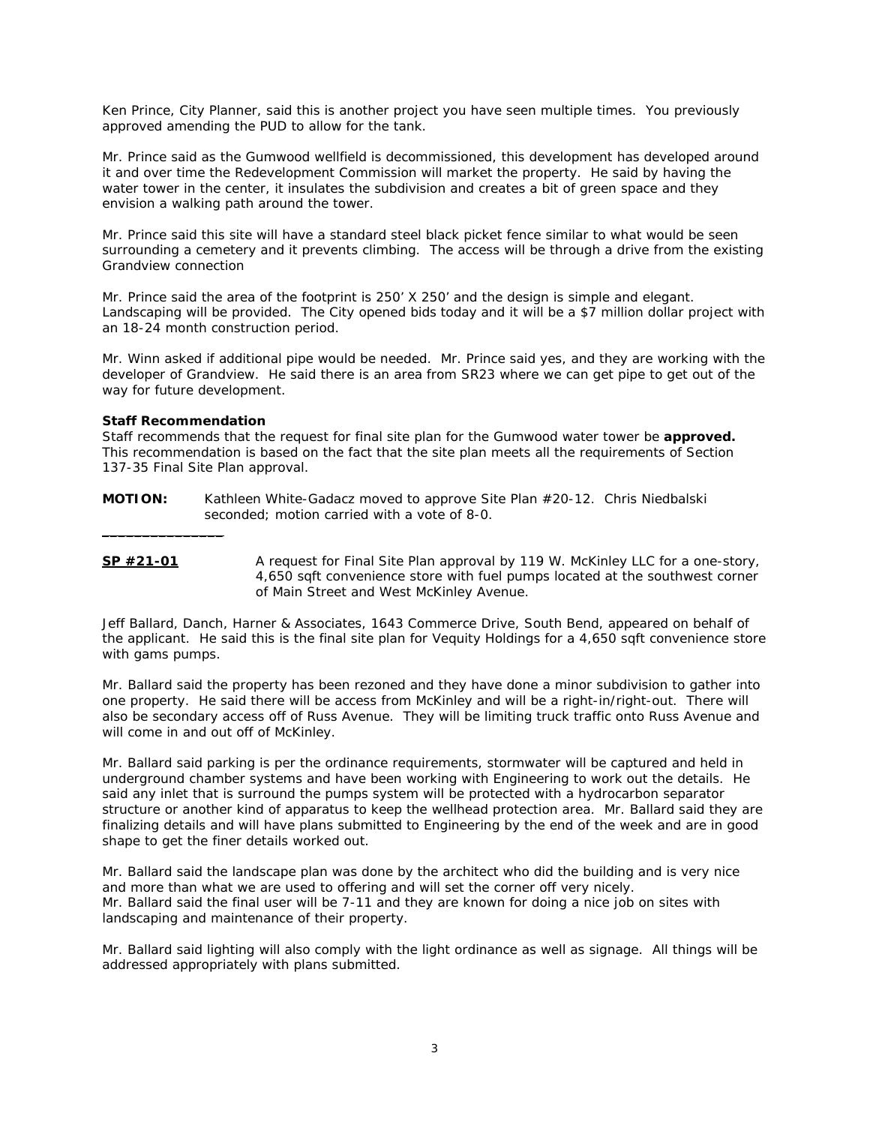Ken Prince, City Planner, said this is another project you have seen multiple times. You previously approved amending the PUD to allow for the tank.

Mr. Prince said as the Gumwood wellfield is decommissioned, this development has developed around it and over time the Redevelopment Commission will market the property. He said by having the water tower in the center, it insulates the subdivision and creates a bit of green space and they envision a walking path around the tower.

Mr. Prince said this site will have a standard steel black picket fence similar to what would be seen surrounding a cemetery and it prevents climbing. The access will be through a drive from the existing Grandview connection

Mr. Prince said the area of the footprint is 250' X 250' and the design is simple and elegant. Landscaping will be provided. The City opened bids today and it will be a \$7 million dollar project with an 18-24 month construction period.

Mr. Winn asked if additional pipe would be needed. Mr. Prince said yes, and they are working with the developer of Grandview. He said there is an area from SR23 where we can get pipe to get out of the way for future development.

### **Staff Recommendation**

 $\mathcal{L}=\mathcal{L}=\mathcal{L}=\mathcal{L}=\mathcal{L}=\mathcal{L}=\mathcal{L}$ 

Staff recommends that the request for final site plan for the Gumwood water tower be **approved.**  This recommendation is based on the fact that the site plan meets all the requirements of Section 137-35 Final Site Plan approval.

- **MOTION:** Kathleen White-Gadacz moved to approve Site Plan #20-12. Chris Niedbalski seconded; motion carried with a vote of 8-0.
- **SP #21-01** A request for Final Site Plan approval by 119 W. McKinley LLC for a one-story, 4,650 sqft convenience store with fuel pumps located at the southwest corner of Main Street and West McKinley Avenue.

Jeff Ballard, Danch, Harner & Associates, 1643 Commerce Drive, South Bend, appeared on behalf of the applicant. He said this is the final site plan for Vequity Holdings for a 4,650 sqft convenience store with gams pumps.

Mr. Ballard said the property has been rezoned and they have done a minor subdivision to gather into one property. He said there will be access from McKinley and will be a right-in/right-out. There will also be secondary access off of Russ Avenue. They will be limiting truck traffic onto Russ Avenue and will come in and out off of McKinley.

Mr. Ballard said parking is per the ordinance requirements, stormwater will be captured and held in underground chamber systems and have been working with Engineering to work out the details. He said any inlet that is surround the pumps system will be protected with a hydrocarbon separator structure or another kind of apparatus to keep the wellhead protection area. Mr. Ballard said they are finalizing details and will have plans submitted to Engineering by the end of the week and are in good shape to get the finer details worked out.

Mr. Ballard said the landscape plan was done by the architect who did the building and is very nice and more than what we are used to offering and will set the corner off very nicely. Mr. Ballard said the final user will be 7-11 and they are known for doing a nice job on sites with landscaping and maintenance of their property.

Mr. Ballard said lighting will also comply with the light ordinance as well as signage. All things will be addressed appropriately with plans submitted.